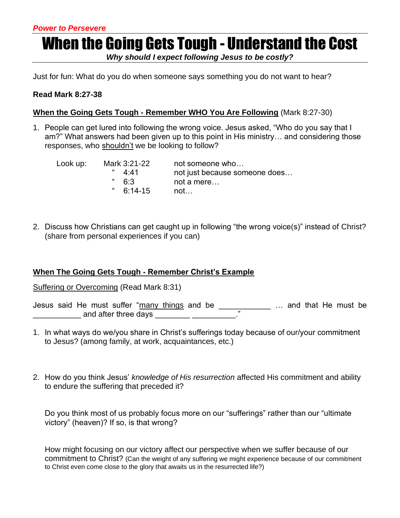# When the Going Gets Tough - Understand the Cost

*Why should I expect following Jesus to be costly?*

Just for fun: What do you do when someone says something you do not want to hear?

# **Read Mark 8:27-38**

## **When the Going Gets Tough - Remember WHO You Are Following** (Mark 8:27-30)

1. People can get lured into following the wrong voice. Jesus asked, "Who do you say that I am?" What answers had been given up to this point in His ministry… and considering those responses, who shouldn't we be looking to follow?

| Look up: | Mark 3:21-22 | not someone who               |
|----------|--------------|-------------------------------|
|          | 4.41         | not just because someone does |
|          | " $6.3$      | not a mere                    |
|          | $6:14-15$    | not                           |

2. Discuss how Christians can get caught up in following "the wrong voice(s)" instead of Christ? (share from personal experiences if you can)

# **When The Going Gets Tough - Remember Christ's Example**

Suffering or Overcoming (Read Mark 8:31)

Jesus said He must suffer "many things and be  $\frac{1}{n}$  ... and that He must be  $\Box$  and after three days  $\Box$ 

- 1. In what ways do we/you share in Christ's sufferings today because of our/your commitment to Jesus? (among family, at work, acquaintances, etc.)
- 2. How do you think Jesus' *knowledge of His resurrection* affected His commitment and ability to endure the suffering that preceded it?

Do you think most of us probably focus more on our "sufferings" rather than our "ultimate victory" (heaven)? If so, is that wrong?

How might focusing on our victory affect our perspective when we suffer because of our commitment to Christ? (Can the weight of any suffering we might experience because of our commitment to Christ even come close to the glory that awaits us in the resurrected life?)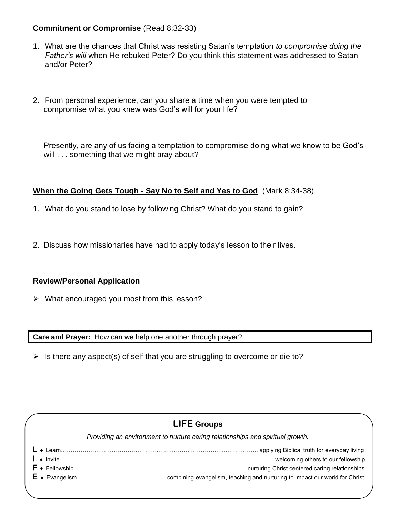# **Commitment or Compromise** (Read 8:32-33)

- 1. What are the chances that Christ was resisting Satan's temptation *to compromise doing the Father's will* when He rebuked Peter? Do you think this statement was addressed to Satan and/or Peter?
- 2. From personal experience, can you share a time when you were tempted to compromise what you knew was God's will for your life?

 Presently, are any of us facing a temptation to compromise doing what we know to be God's will . . . something that we might pray about?

# **When the Going Gets Tough - Say No to Self and Yes to God** (Mark 8:34-38)

- 1. What do you stand to lose by following Christ? What do you stand to gain?
- 2. Discuss how missionaries have had to apply today's lesson to their lives.

### **Review/Personal Application**

➢ What encouraged you most from this lesson?

**Care and Prayer:** How can we help one another through prayer?

 $\triangleright$  Is there any aspect(s) of self that you are struggling to overcome or die to?

# **LIFE Groups**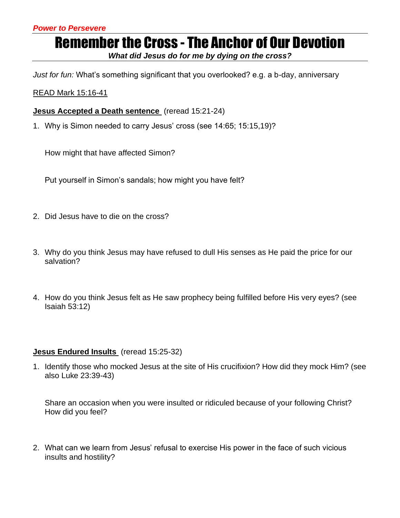# Remember the Cross - The Anchor of Our Devotion

*What did Jesus do for me by dying on the cross?*

*Just for fun:* What's something significant that you overlooked? e.g. a b-day, anniversary

READ Mark 15:16-41

**Jesus Accepted a Death sentence** (reread 15:21-24)

1. Why is Simon needed to carry Jesus' cross (see 14:65; 15:15,19)?

How might that have affected Simon?

Put yourself in Simon's sandals; how might you have felt?

- 2. Did Jesus have to die on the cross?
- 3. Why do you think Jesus may have refused to dull His senses as He paid the price for our salvation?
- 4. How do you think Jesus felt as He saw prophecy being fulfilled before His very eyes? (see Isaiah 53:12)

### **Jesus Endured Insults** (reread 15:25-32)

1. Identify those who mocked Jesus at the site of His crucifixion? How did they mock Him? (see also Luke 23:39-43)

Share an occasion when you were insulted or ridiculed because of your following Christ? How did you feel?

2. What can we learn from Jesus' refusal to exercise His power in the face of such vicious insults and hostility?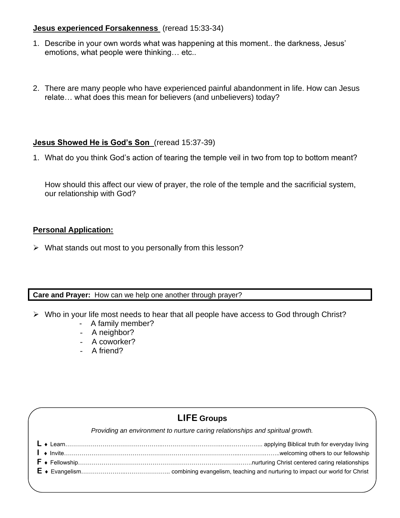## **Jesus experienced Forsakenness** (reread 15:33-34)

- 1. Describe in your own words what was happening at this moment.. the darkness, Jesus' emotions, what people were thinking… etc..
- 2. There are many people who have experienced painful abandonment in life. How can Jesus relate… what does this mean for believers (and unbelievers) today?

# **Jesus Showed He is God's Son** (reread 15:37-39)

1. What do you think God's action of tearing the temple veil in two from top to bottom meant?

How should this affect our view of prayer, the role of the temple and the sacrificial system, our relationship with God?

## **Personal Application:**

➢ What stands out most to you personally from this lesson?

### **Care and Prayer:** How can we help one another through prayer?

- ➢ Who in your life most needs to hear that all people have access to God through Christ?
	- A family member?
	- A neighbor?
	- A coworker?
	- A friend?

# **LIFE Groups**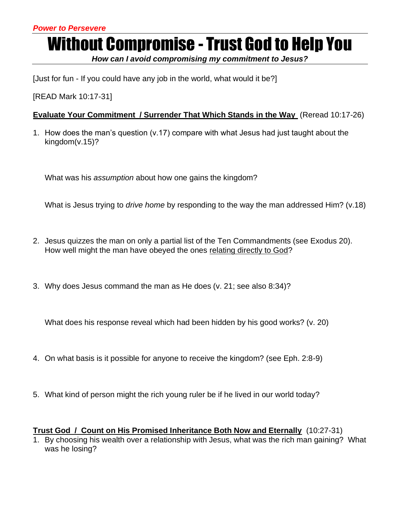# Without Compromise - Trust God to Help You

*How can I avoid compromising my commitment to Jesus?*

[Just for fun - If you could have any job in the world, what would it be?]

[READ Mark 10:17-31]

# **Evaluate Your Commitment / Surrender That Which Stands in the Way** (Reread 10:17-26)

1. How does the man's question (v.17) compare with what Jesus had just taught about the kingdom(v.15)?

What was his *assumption* about how one gains the kingdom?

What is Jesus trying to *drive home* by responding to the way the man addressed Him? (v.18)

- 2. Jesus quizzes the man on only a partial list of the Ten Commandments (see Exodus 20). How well might the man have obeyed the ones relating directly to God?
- 3. Why does Jesus command the man as He does (v. 21; see also 8:34)?

What does his response reveal which had been hidden by his good works? (v. 20)

- 4. On what basis is it possible for anyone to receive the kingdom? (see Eph. 2:8-9)
- 5. What kind of person might the rich young ruler be if he lived in our world today?

# **Trust God / Count on His Promised Inheritance Both Now and Eternally** (10:27-31)

1. By choosing his wealth over a relationship with Jesus, what was the rich man gaining? What was he losing?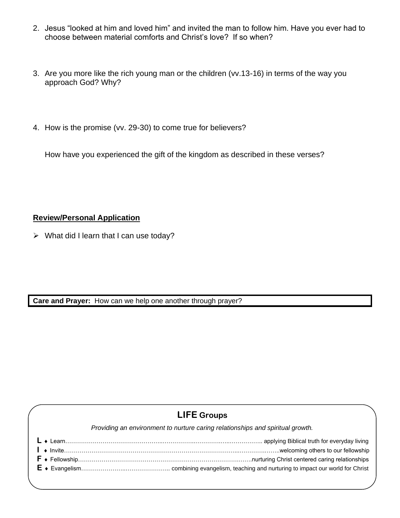- 2. Jesus "looked at him and loved him" and invited the man to follow him. Have you ever had to choose between material comforts and Christ's love? If so when?
- 3. Are you more like the rich young man or the children (vv.13-16) in terms of the way you approach God? Why?
- 4. How is the promise (vv. 29-30) to come true for believers?

How have you experienced the gift of the kingdom as described in these verses?

# **Review/Personal Application**

 $\triangleright$  What did I learn that I can use today?

**Care and Prayer:** How can we help one another through prayer?

# **LIFE Groups**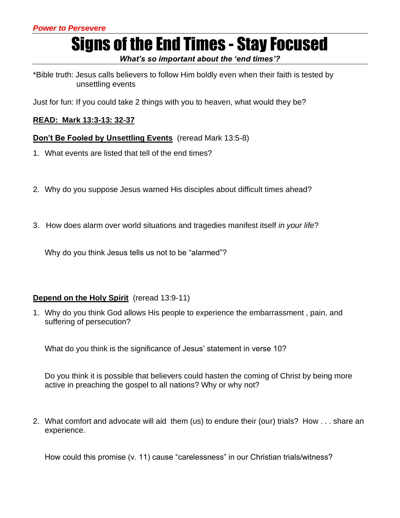# Signs of the End Times - Stay Focused

*What's so important about the 'end times'?*

\*Bible truth: Jesus calls believers to follow Him boldly even when their faith is tested by unsettling events

Just for fun: If you could take 2 things with you to heaven, what would they be?

# **READ: Mark 13:3-13: 32-37**

**Don't Be Fooled by Unsettling Events** (reread Mark 13:5-8)

- 1. What events are listed that tell of the end times?
- 2. Why do you suppose Jesus warned His disciples about difficult times ahead?
- 3. How does alarm over world situations and tragedies manifest itself *in your life*?

Why do you think Jesus tells us not to be "alarmed"?

# **Depend on the Holy Spirit** (reread 13:9-11)

1. Why do you think God allows His people to experience the embarrassment , pain, and suffering of persecution?

What do you think is the significance of Jesus' statement in verse 10?

Do you think it is possible that believers could hasten the coming of Christ by being more active in preaching the gospel to all nations? Why or why not?

2. What comfort and advocate will aid them (us) to endure their (our) trials? How . . . share an experience.

How could this promise (v. 11) cause "carelessness" in our Christian trials/witness?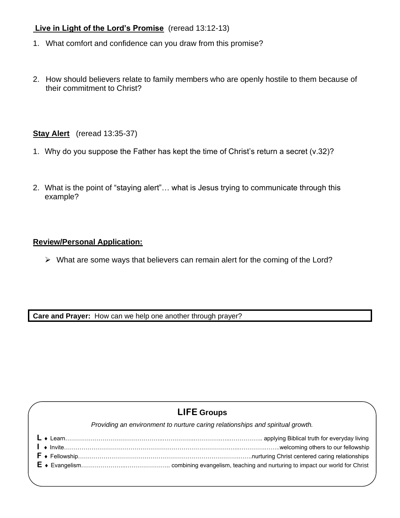# **Live in Light of the Lord's Promise** (reread 13:12-13)

- 1. What comfort and confidence can you draw from this promise?
- 2. How should believers relate to family members who are openly hostile to them because of their commitment to Christ?

## **Stay Alert** (reread 13:35-37)

- 1. Why do you suppose the Father has kept the time of Christ's return a secret (v.32)?
- 2. What is the point of "staying alert"… what is Jesus trying to communicate through this example?

# **Review/Personal Application:**

➢ What are some ways that believers can remain alert for the coming of the Lord?

**Care and Prayer:** How can we help one another through prayer?

# **LIFE Groups**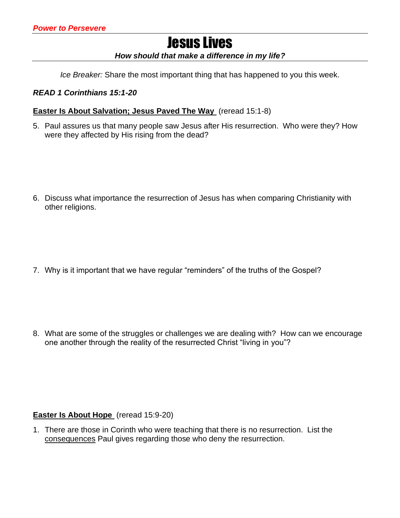# Jesus Lives

#### *How should that make a difference in my life?*

*Ice Breaker:* Share the most important thing that has happened to you this week.

### *READ 1 Corinthians 15:1-20*

#### **Easter Is About Salvation; Jesus Paved The Way** (reread 15:1-8)

5. Paul assures us that many people saw Jesus after His resurrection. Who were they? How were they affected by His rising from the dead?

6. Discuss what importance the resurrection of Jesus has when comparing Christianity with other religions.

7. Why is it important that we have regular "reminders" of the truths of the Gospel?

8. What are some of the struggles or challenges we are dealing with? How can we encourage one another through the reality of the resurrected Christ "living in you"?

### **Easter Is About Hope** (reread 15:9-20)

1. There are those in Corinth who were teaching that there is no resurrection. List the consequences Paul gives regarding those who deny the resurrection.